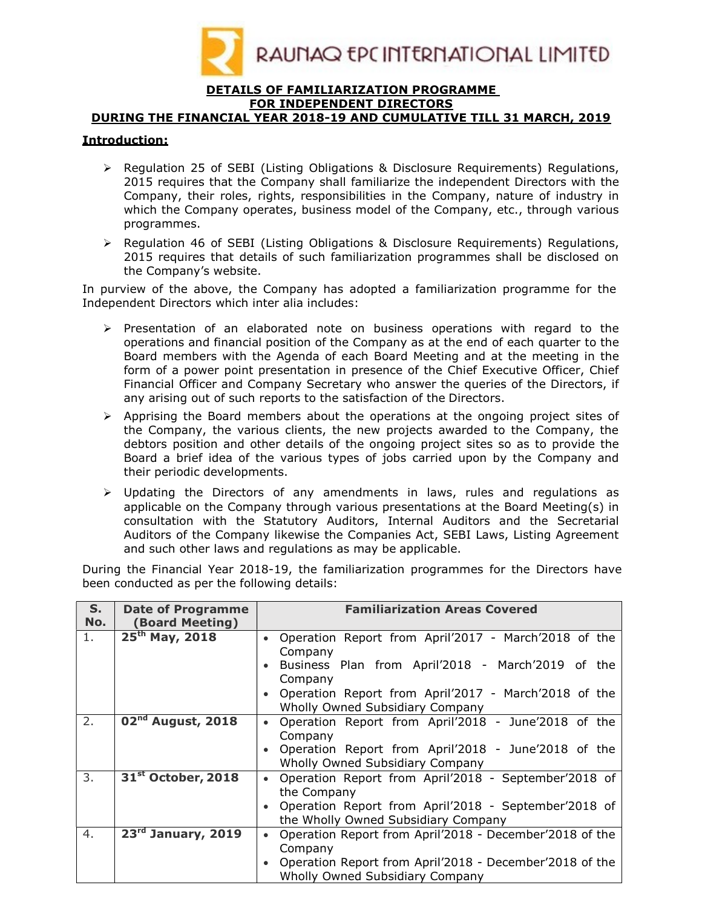

#### DETAILS OF FAMILIARIZATION PROGRAMME FOR INDEPENDENT DIRECTORS

### DURING THE FINANCIAL YEAR 2018-19 AND CUMULATIVE TILL 31 MARCH, 2019

### Introduction:

- $\triangleright$  Regulation 25 of SEBI (Listing Obligations & Disclosure Reguirements) Regulations, 2015 requires that the Company shall familiarize the independent Directors with the Company, their roles, rights, responsibilities in the Company, nature of industry in which the Company operates, business model of the Company, etc., through various programmes.
- $\triangleright$  Regulation 46 of SEBI (Listing Obligations & Disclosure Requirements) Regulations, 2015 requires that details of such familiarization programmes shall be disclosed on the Company's website.

In purview of the above, the Company has adopted a familiarization programme for the Independent Directors which inter alia includes:

- $\triangleright$  Presentation of an elaborated note on business operations with regard to the operations and financial position of the Company as at the end of each quarter to the Board members with the Agenda of each Board Meeting and at the meeting in the form of a power point presentation in presence of the Chief Executive Officer, Chief Financial Officer and Company Secretary who answer the queries of the Directors, if any arising out of such reports to the satisfaction of the Directors.
- $\triangleright$  Apprising the Board members about the operations at the ongoing project sites of the Company, the various clients, the new projects awarded to the Company, the debtors position and other details of the ongoing project sites so as to provide the Board a brief idea of the various types of jobs carried upon by the Company and their periodic developments.
- $\triangleright$  Updating the Directors of any amendments in laws, rules and regulations as applicable on the Company through various presentations at the Board Meeting(s) in consultation with the Statutory Auditors, Internal Auditors and the Secretarial Auditors of the Company likewise the Companies Act, SEBI Laws, Listing Agreement and such other laws and regulations as may be applicable.

During the Financial Year 2018-19, the familiarization programmes for the Directors have been conducted as per the following details:

| $S_{1}$<br>No. | <b>Date of Programme</b><br>(Board Meeting) | <b>Familiarization Areas Covered</b>                                 |  |  |  |  |
|----------------|---------------------------------------------|----------------------------------------------------------------------|--|--|--|--|
| 1.             | $25th$ May, 2018                            | Operation Report from April'2017 - March'2018 of the<br>$\bullet$    |  |  |  |  |
|                |                                             | Company                                                              |  |  |  |  |
|                |                                             | Business Plan from April'2018 - March'2019 of the                    |  |  |  |  |
|                |                                             | Company                                                              |  |  |  |  |
|                |                                             | Operation Report from April'2017 - March'2018 of the                 |  |  |  |  |
|                |                                             | Wholly Owned Subsidiary Company                                      |  |  |  |  |
| 2.             | $\overline{02}^{\text{nd}}$ August, 2018    | Operation Report from April'2018 - June'2018 of the<br>$\bullet$     |  |  |  |  |
|                |                                             | Company                                                              |  |  |  |  |
|                |                                             | Operation Report from April'2018 - June'2018 of the                  |  |  |  |  |
|                |                                             | Wholly Owned Subsidiary Company                                      |  |  |  |  |
| 3.             | 31 <sup>st</sup> October, 2018              | Operation Report from April'2018 - September'2018 of<br>$\bullet$    |  |  |  |  |
|                |                                             | the Company                                                          |  |  |  |  |
|                |                                             | Operation Report from April'2018 - September'2018 of                 |  |  |  |  |
|                |                                             | the Wholly Owned Subsidiary Company                                  |  |  |  |  |
| 4.             | 23 <sup>rd</sup> January, 2019              | Operation Report from April'2018 - December'2018 of the<br>$\bullet$ |  |  |  |  |
|                |                                             | Company                                                              |  |  |  |  |
|                |                                             | Operation Report from April'2018 - December'2018 of the              |  |  |  |  |
|                |                                             | Wholly Owned Subsidiary Company                                      |  |  |  |  |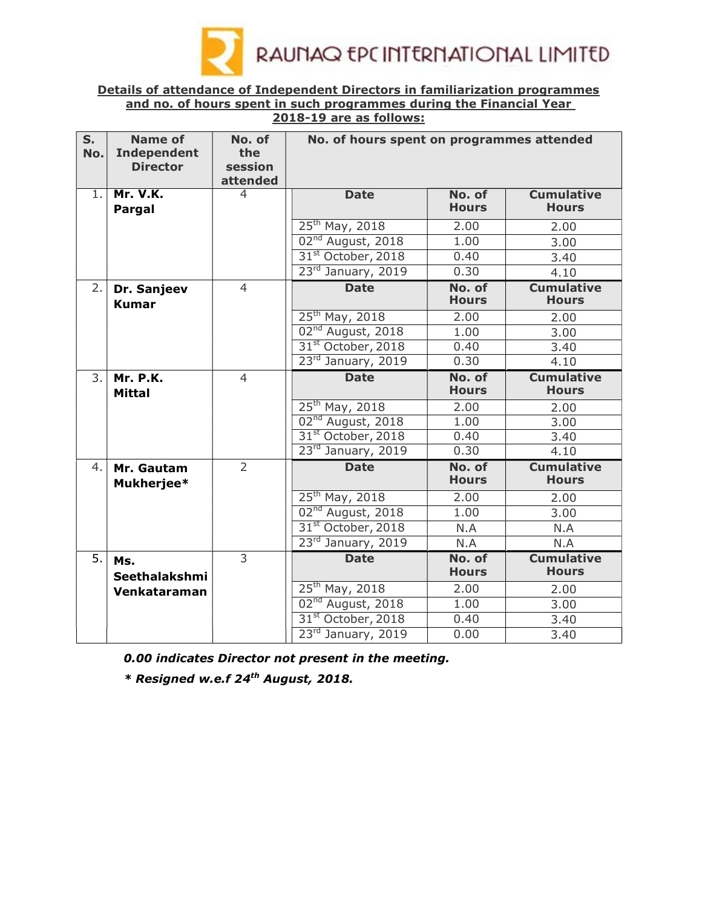

## Details of attendance of Independent Directors in familiarization programmes and no. of hours spent in such programmes during the Financial Year 2018-19 are as follows:

| S.<br>No. | <b>Name of</b><br><b>Independent</b><br><b>Director</b>  | No. of<br>the<br>session<br>attended | No. of hours spent on programmes attended |                        |                                   |  |  |
|-----------|----------------------------------------------------------|--------------------------------------|-------------------------------------------|------------------------|-----------------------------------|--|--|
| 1.        | <b>Mr. V.K.</b><br>Pargal                                | 4                                    | <b>Date</b>                               | No. of<br><b>Hours</b> | <b>Cumulative</b><br><b>Hours</b> |  |  |
|           |                                                          |                                      | 25 <sup>th</sup> May, 2018                | 2.00                   | 2.00                              |  |  |
|           |                                                          |                                      | 02 <sup>nd</sup> August, 2018             | 1.00                   | 3.00                              |  |  |
|           |                                                          |                                      | 31 <sup>st</sup> October, 2018            | 0.40                   | 3.40                              |  |  |
|           |                                                          |                                      | 23rd January, 2019                        | 0.30                   | 4.10                              |  |  |
| 2.        | $\overline{4}$<br>Dr. Sanjeev<br><b>Kumar</b>            |                                      | <b>Date</b>                               | No. of<br><b>Hours</b> | <b>Cumulative</b><br><b>Hours</b> |  |  |
|           |                                                          |                                      | 25 <sup>th</sup> May, 2018                | 2.00                   | 2.00                              |  |  |
|           |                                                          |                                      | 02 <sup>nd</sup> August, 2018             | 1.00                   | 3.00                              |  |  |
|           |                                                          |                                      | 31 <sup>st</sup> October, 2018            | 0.40                   | 3.40                              |  |  |
|           |                                                          |                                      | 23rd January, 2019                        | 0.30                   | 4.10                              |  |  |
|           | 3.<br><b>Mr. P.K.</b><br>$\overline{4}$<br><b>Mittal</b> |                                      | <b>Date</b>                               | No. of<br><b>Hours</b> | <b>Cumulative</b><br><b>Hours</b> |  |  |
|           |                                                          |                                      | 25 <sup>th</sup> May, 2018                | 2.00                   | 2.00                              |  |  |
|           |                                                          |                                      | 02 <sup>nd</sup> August, 2018             | 1.00                   | 3.00                              |  |  |
|           |                                                          |                                      | 31 <sup>st</sup> October, 2018            | 0.40                   | 3.40                              |  |  |
|           |                                                          |                                      | 23rd January, 2019                        | 0.30                   | 4.10                              |  |  |
| 4.        | $\overline{2}$<br>Mr. Gautam<br>Mukherjee*               |                                      | <b>Date</b>                               | No. of<br><b>Hours</b> | <b>Cumulative</b><br><b>Hours</b> |  |  |
|           |                                                          |                                      | 25 <sup>th</sup> May, 2018                | 2.00                   | 2.00                              |  |  |
|           |                                                          |                                      | 02 <sup>nd</sup> August, 2018             | 1.00                   | 3.00                              |  |  |
|           |                                                          |                                      | 31 <sup>st</sup> October, 2018            | N.A                    | N.A                               |  |  |
|           |                                                          |                                      | 23rd January, 2019                        | N.A                    | N.A                               |  |  |
| 5.        | Ms.<br>Seethalakshmi                                     | $\overline{3}$                       | <b>Date</b>                               | No. of<br><b>Hours</b> | <b>Cumulative</b><br><b>Hours</b> |  |  |
|           | Venkataraman                                             |                                      | 25 <sup>th</sup> May, 2018                | 2.00                   | 2.00                              |  |  |
|           |                                                          |                                      | 02 <sup>nd</sup> August, 2018             | 1.00                   | 3.00                              |  |  |
|           |                                                          |                                      | 31 <sup>st</sup> October, 2018            | 0.40                   | 3.40                              |  |  |
|           |                                                          |                                      | 23rd January, 2019                        | 0.00                   | 3.40                              |  |  |

0.00 indicates Director not present in the meeting.

 $*$  Resigned w.e.f 24<sup>th</sup> August, 2018.